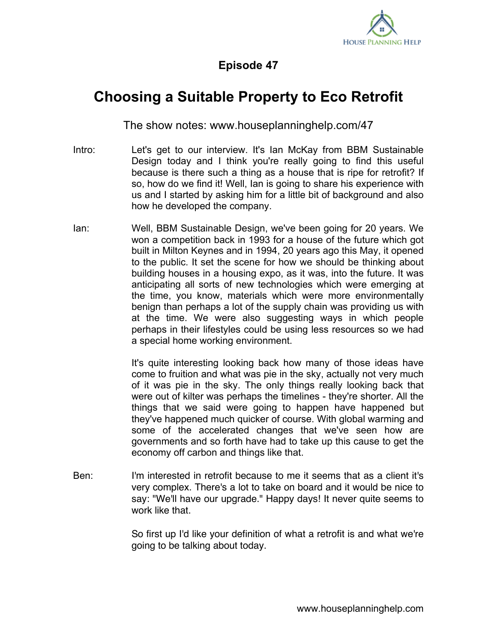

## **Episode 47**

## **Choosing a Suitable Property to Eco Retrofit**

The show notes: www.houseplanninghelp.com/47

- Intro: Let's get to our interview. It's Ian McKay from BBM Sustainable Design today and I think you're really going to find this useful because is there such a thing as a house that is ripe for retrofit? If so, how do we find it! Well, Ian is going to share his experience with us and I started by asking him for a little bit of background and also how he developed the company.
- Ian: Well, BBM Sustainable Design, we've been going for 20 years. We won a competition back in 1993 for a house of the future which got built in Milton Keynes and in 1994, 20 years ago this May, it opened to the public. It set the scene for how we should be thinking about building houses in a housing expo, as it was, into the future. It was anticipating all sorts of new technologies which were emerging at the time, you know, materials which were more environmentally benign than perhaps a lot of the supply chain was providing us with at the time. We were also suggesting ways in which people perhaps in their lifestyles could be using less resources so we had a special home working environment.

It's quite interesting looking back how many of those ideas have come to fruition and what was pie in the sky, actually not very much of it was pie in the sky. The only things really looking back that were out of kilter was perhaps the timelines - they're shorter. All the things that we said were going to happen have happened but they've happened much quicker of course. With global warming and some of the accelerated changes that we've seen how are governments and so forth have had to take up this cause to get the economy off carbon and things like that.

Ben: I'm interested in retrofit because to me it seems that as a client it's very complex. There's a lot to take on board and it would be nice to say: "We'll have our upgrade." Happy days! It never quite seems to work like that.

> So first up I'd like your definition of what a retrofit is and what we're going to be talking about today.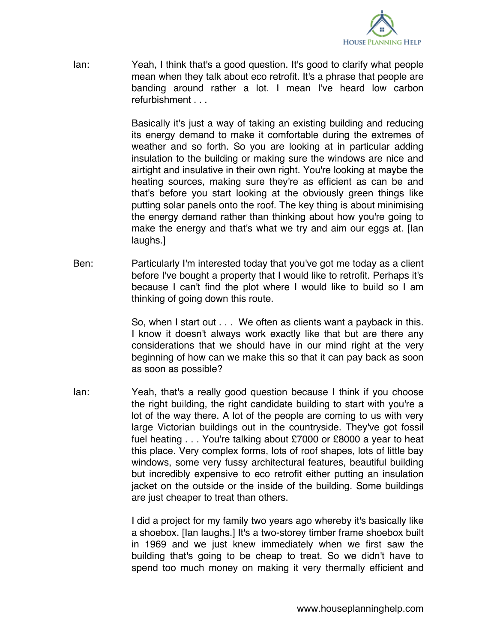

Ian: Yeah, I think that's a good question. It's good to clarify what people mean when they talk about eco retrofit. It's a phrase that people are banding around rather a lot. I mean I've heard low carbon refurbishment

> Basically it's just a way of taking an existing building and reducing its energy demand to make it comfortable during the extremes of weather and so forth. So you are looking at in particular adding insulation to the building or making sure the windows are nice and airtight and insulative in their own right. You're looking at maybe the heating sources, making sure they're as efficient as can be and that's before you start looking at the obviously green things like putting solar panels onto the roof. The key thing is about minimising the energy demand rather than thinking about how you're going to make the energy and that's what we try and aim our eggs at. [Ian laughs.]

Ben: Particularly I'm interested today that you've got me today as a client before I've bought a property that I would like to retrofit. Perhaps it's because I can't find the plot where I would like to build so I am thinking of going down this route.

> So, when I start out . . . We often as clients want a payback in this. I know it doesn't always work exactly like that but are there any considerations that we should have in our mind right at the very beginning of how can we make this so that it can pay back as soon as soon as possible?

Ian: Yeah, that's a really good question because I think if you choose the right building, the right candidate building to start with you're a lot of the way there. A lot of the people are coming to us with very large Victorian buildings out in the countryside. They've got fossil fuel heating . . . You're talking about £7000 or £8000 a year to heat this place. Very complex forms, lots of roof shapes, lots of little bay windows, some very fussy architectural features, beautiful building but incredibly expensive to eco retrofit either putting an insulation jacket on the outside or the inside of the building. Some buildings are just cheaper to treat than others.

> I did a project for my family two years ago whereby it's basically like a shoebox. [Ian laughs.] It's a two-storey timber frame shoebox built in 1969 and we just knew immediately when we first saw the building that's going to be cheap to treat. So we didn't have to spend too much money on making it very thermally efficient and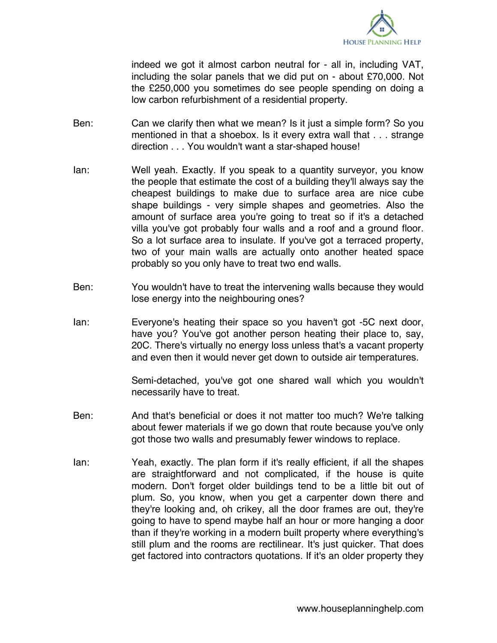

indeed we got it almost carbon neutral for - all in, including VAT, including the solar panels that we did put on - about £70,000. Not the £250,000 you sometimes do see people spending on doing a low carbon refurbishment of a residential property.

- Ben: Can we clarify then what we mean? Is it just a simple form? So you mentioned in that a shoebox. Is it every extra wall that . . . strange direction . . . You wouldn't want a star-shaped house!
- Ian: Well yeah. Exactly. If you speak to a quantity surveyor, you know the people that estimate the cost of a building they'll always say the cheapest buildings to make due to surface area are nice cube shape buildings - very simple shapes and geometries. Also the amount of surface area you're going to treat so if it's a detached villa you've got probably four walls and a roof and a ground floor. So a lot surface area to insulate. If you've got a terraced property, two of your main walls are actually onto another heated space probably so you only have to treat two end walls.
- Ben: You wouldn't have to treat the intervening walls because they would lose energy into the neighbouring ones?
- Ian: Everyone's heating their space so you haven't got -5C next door, have you? You've got another person heating their place to, say, 20C. There's virtually no energy loss unless that's a vacant property and even then it would never get down to outside air temperatures.

Semi-detached, you've got one shared wall which you wouldn't necessarily have to treat.

- Ben: And that's beneficial or does it not matter too much? We're talking about fewer materials if we go down that route because you've only got those two walls and presumably fewer windows to replace.
- Ian: Yeah, exactly. The plan form if it's really efficient, if all the shapes are straightforward and not complicated, if the house is quite modern. Don't forget older buildings tend to be a little bit out of plum. So, you know, when you get a carpenter down there and they're looking and, oh crikey, all the door frames are out, they're going to have to spend maybe half an hour or more hanging a door than if they're working in a modern built property where everything's still plum and the rooms are rectilinear. It's just quicker. That does get factored into contractors quotations. If it's an older property they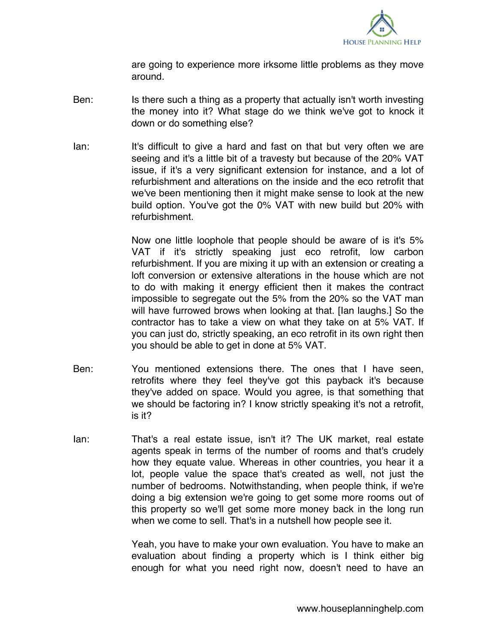

are going to experience more irksome little problems as they move around.

- Ben: Is there such a thing as a property that actually isn't worth investing the money into it? What stage do we think we've got to knock it down or do something else?
- Ian: It's difficult to give a hard and fast on that but very often we are seeing and it's a little bit of a travesty but because of the 20% VAT issue, if it's a very significant extension for instance, and a lot of refurbishment and alterations on the inside and the eco retrofit that we've been mentioning then it might make sense to look at the new build option. You've got the 0% VAT with new build but 20% with refurbishment.

Now one little loophole that people should be aware of is it's 5% VAT if it's strictly speaking just eco retrofit, low carbon refurbishment. If you are mixing it up with an extension or creating a loft conversion or extensive alterations in the house which are not to do with making it energy efficient then it makes the contract impossible to segregate out the 5% from the 20% so the VAT man will have furrowed brows when looking at that. [Ian laughs.] So the contractor has to take a view on what they take on at 5% VAT. If you can just do, strictly speaking, an eco retrofit in its own right then you should be able to get in done at 5% VAT.

- Ben: You mentioned extensions there. The ones that I have seen, retrofits where they feel they've got this payback it's because they've added on space. Would you agree, is that something that we should be factoring in? I know strictly speaking it's not a retrofit, is it?
- Ian: That's a real estate issue, isn't it? The UK market, real estate agents speak in terms of the number of rooms and that's crudely how they equate value. Whereas in other countries, you hear it a lot, people value the space that's created as well, not just the number of bedrooms. Notwithstanding, when people think, if we're doing a big extension we're going to get some more rooms out of this property so we'll get some more money back in the long run when we come to sell. That's in a nutshell how people see it.

Yeah, you have to make your own evaluation. You have to make an evaluation about finding a property which is I think either big enough for what you need right now, doesn't need to have an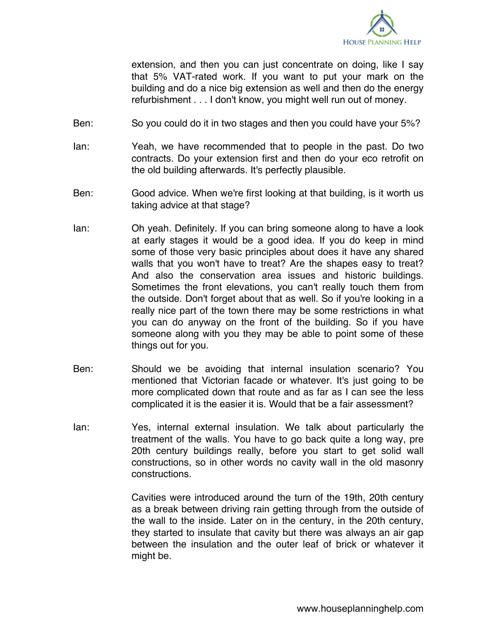

extension, and then you can just concentrate on doing, like I say that 5% VAT-rated work. If you want to put your mark on the building and do a nice big extension as well and then do the energy refurbishment . . . I don't know, you might well run out of money.

- Ben: So you could do it in two stages and then you could have your 5%?
- Ian: Yeah, we have recommended that to people in the past. Do two contracts. Do your extension first and then do your eco retrofit on the old building afterwards. It's perfectly plausible.
- Ben: Good advice. When we're first looking at that building, is it worth us taking advice at that stage?
- Ian: Oh yeah. Definitely. If you can bring someone along to have a look at early stages it would be a good idea. If you do keep in mind some of those very basic principles about does it have any shared walls that you won't have to treat? Are the shapes easy to treat? And also the conservation area issues and historic buildings. Sometimes the front elevations, you can't really touch them from the outside. Don't forget about that as well. So if you're looking in a really nice part of the town there may be some restrictions in what you can do anyway on the front of the building. So if you have someone along with you they may be able to point some of these things out for you.
- Ben: Should we be avoiding that internal insulation scenario? You mentioned that Victorian facade or whatever. It's just going to be more complicated down that route and as far as I can see the less complicated it is the easier it is. Would that be a fair assessment?
- Ian: Yes, internal external insulation. We talk about particularly the treatment of the walls. You have to go back quite a long way, pre 20th century buildings really, before you start to get solid wall constructions, so in other words no cavity wall in the old masonry constructions.

Cavities were introduced around the turn of the 19th, 20th century as a break between driving rain getting through from the outside of the wall to the inside. Later on in the century, in the 20th century, they started to insulate that cavity but there was always an air gap between the insulation and the outer leaf of brick or whatever it might be.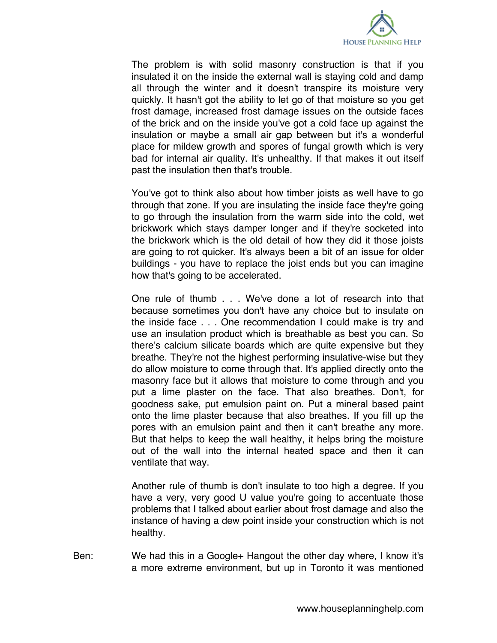

The problem is with solid masonry construction is that if you insulated it on the inside the external wall is staying cold and damp all through the winter and it doesn't transpire its moisture very quickly. It hasn't got the ability to let go of that moisture so you get frost damage, increased frost damage issues on the outside faces of the brick and on the inside you've got a cold face up against the insulation or maybe a small air gap between but it's a wonderful place for mildew growth and spores of fungal growth which is very bad for internal air quality. It's unhealthy. If that makes it out itself past the insulation then that's trouble.

You've got to think also about how timber joists as well have to go through that zone. If you are insulating the inside face they're going to go through the insulation from the warm side into the cold, wet brickwork which stays damper longer and if they're socketed into the brickwork which is the old detail of how they did it those joists are going to rot quicker. It's always been a bit of an issue for older buildings - you have to replace the joist ends but you can imagine how that's going to be accelerated.

One rule of thumb . . . We've done a lot of research into that because sometimes you don't have any choice but to insulate on the inside face . . . One recommendation I could make is try and use an insulation product which is breathable as best you can. So there's calcium silicate boards which are quite expensive but they breathe. They're not the highest performing insulative-wise but they do allow moisture to come through that. It's applied directly onto the masonry face but it allows that moisture to come through and you put a lime plaster on the face. That also breathes. Don't, for goodness sake, put emulsion paint on. Put a mineral based paint onto the lime plaster because that also breathes. If you fill up the pores with an emulsion paint and then it can't breathe any more. But that helps to keep the wall healthy, it helps bring the moisture out of the wall into the internal heated space and then it can ventilate that way.

Another rule of thumb is don't insulate to too high a degree. If you have a very, very good U value you're going to accentuate those problems that I talked about earlier about frost damage and also the instance of having a dew point inside your construction which is not healthy.

Ben: We had this in a Google+ Hangout the other day where, I know it's a more extreme environment, but up in Toronto it was mentioned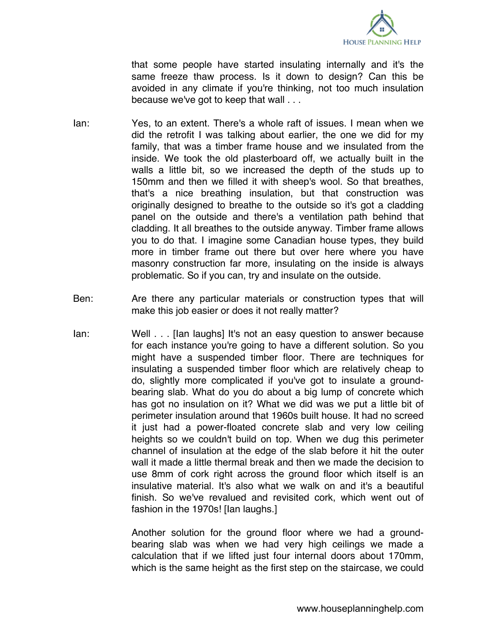

that some people have started insulating internally and it's the same freeze thaw process. Is it down to design? Can this be avoided in any climate if you're thinking, not too much insulation because we've got to keep that wall . . .

- Ian: Yes, to an extent. There's a whole raft of issues. I mean when we did the retrofit I was talking about earlier, the one we did for my family, that was a timber frame house and we insulated from the inside. We took the old plasterboard off, we actually built in the walls a little bit, so we increased the depth of the studs up to 150mm and then we filled it with sheep's wool. So that breathes, that's a nice breathing insulation, but that construction was originally designed to breathe to the outside so it's got a cladding panel on the outside and there's a ventilation path behind that cladding. It all breathes to the outside anyway. Timber frame allows you to do that. I imagine some Canadian house types, they build more in timber frame out there but over here where you have masonry construction far more, insulating on the inside is always problematic. So if you can, try and insulate on the outside.
- Ben: Are there any particular materials or construction types that will make this job easier or does it not really matter?
- Ian: Well . . . [Ian laughs] It's not an easy question to answer because for each instance you're going to have a different solution. So you might have a suspended timber floor. There are techniques for insulating a suspended timber floor which are relatively cheap to do, slightly more complicated if you've got to insulate a groundbearing slab. What do you do about a big lump of concrete which has got no insulation on it? What we did was we put a little bit of perimeter insulation around that 1960s built house. It had no screed it just had a power-floated concrete slab and very low ceiling heights so we couldn't build on top. When we dug this perimeter channel of insulation at the edge of the slab before it hit the outer wall it made a little thermal break and then we made the decision to use 8mm of cork right across the ground floor which itself is an insulative material. It's also what we walk on and it's a beautiful finish. So we've revalued and revisited cork, which went out of fashion in the 1970s! [Ian laughs.]

Another solution for the ground floor where we had a groundbearing slab was when we had very high ceilings we made a calculation that if we lifted just four internal doors about 170mm, which is the same height as the first step on the staircase, we could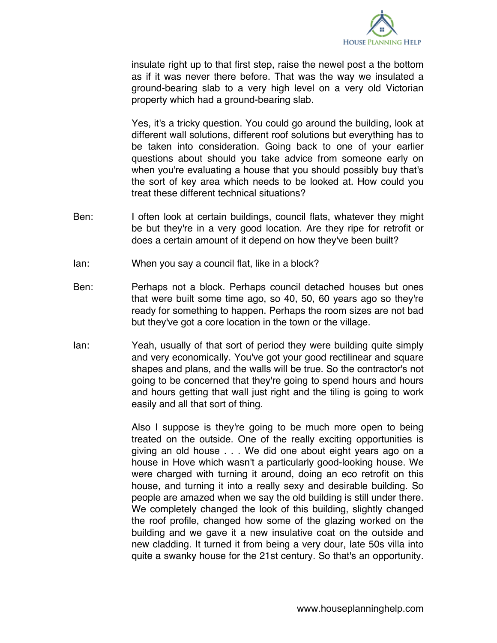

insulate right up to that first step, raise the newel post a the bottom as if it was never there before. That was the way we insulated a ground-bearing slab to a very high level on a very old Victorian property which had a ground-bearing slab.

Yes, it's a tricky question. You could go around the building, look at different wall solutions, different roof solutions but everything has to be taken into consideration. Going back to one of your earlier questions about should you take advice from someone early on when you're evaluating a house that you should possibly buy that's the sort of key area which needs to be looked at. How could you treat these different technical situations?

- Ben: I often look at certain buildings, council flats, whatever they might be but they're in a very good location. Are they ripe for retrofit or does a certain amount of it depend on how they've been built?
- Ian: When you say a council flat, like in a block?
- Ben: Perhaps not a block. Perhaps council detached houses but ones that were built some time ago, so 40, 50, 60 years ago so they're ready for something to happen. Perhaps the room sizes are not bad but they've got a core location in the town or the village.
- Ian: Yeah, usually of that sort of period they were building quite simply and very economically. You've got your good rectilinear and square shapes and plans, and the walls will be true. So the contractor's not going to be concerned that they're going to spend hours and hours and hours getting that wall just right and the tiling is going to work easily and all that sort of thing.

Also I suppose is they're going to be much more open to being treated on the outside. One of the really exciting opportunities is giving an old house . . . We did one about eight years ago on a house in Hove which wasn't a particularly good-looking house. We were charged with turning it around, doing an eco retrofit on this house, and turning it into a really sexy and desirable building. So people are amazed when we say the old building is still under there. We completely changed the look of this building, slightly changed the roof profile, changed how some of the glazing worked on the building and we gave it a new insulative coat on the outside and new cladding. It turned it from being a very dour, late 50s villa into quite a swanky house for the 21st century. So that's an opportunity.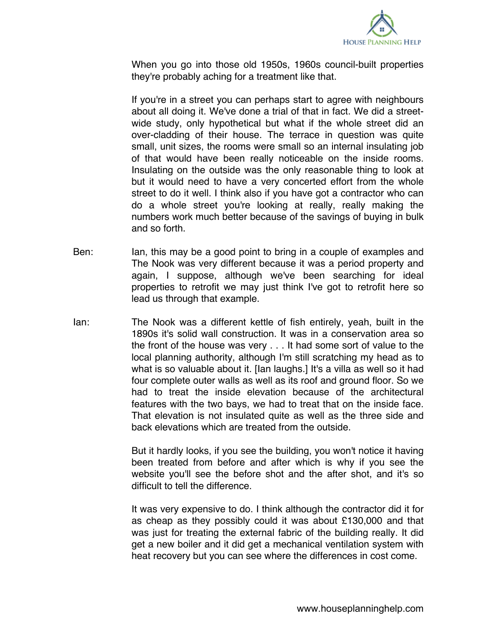

When you go into those old 1950s, 1960s council-built properties they're probably aching for a treatment like that.

If you're in a street you can perhaps start to agree with neighbours about all doing it. We've done a trial of that in fact. We did a streetwide study, only hypothetical but what if the whole street did an over-cladding of their house. The terrace in question was quite small, unit sizes, the rooms were small so an internal insulating job of that would have been really noticeable on the inside rooms. Insulating on the outside was the only reasonable thing to look at but it would need to have a very concerted effort from the whole street to do it well. I think also if you have got a contractor who can do a whole street you're looking at really, really making the numbers work much better because of the savings of buying in bulk and so forth.

- Ben: Ian, this may be a good point to bring in a couple of examples and The Nook was very different because it was a period property and again, I suppose, although we've been searching for ideal properties to retrofit we may just think I've got to retrofit here so lead us through that example.
- Ian: The Nook was a different kettle of fish entirely, yeah, built in the 1890s it's solid wall construction. It was in a conservation area so the front of the house was very . . . It had some sort of value to the local planning authority, although I'm still scratching my head as to what is so valuable about it. [Ian laughs.] It's a villa as well so it had four complete outer walls as well as its roof and ground floor. So we had to treat the inside elevation because of the architectural features with the two bays, we had to treat that on the inside face. That elevation is not insulated quite as well as the three side and back elevations which are treated from the outside.

But it hardly looks, if you see the building, you won't notice it having been treated from before and after which is why if you see the website you'll see the before shot and the after shot, and it's so difficult to tell the difference.

It was very expensive to do. I think although the contractor did it for as cheap as they possibly could it was about £130,000 and that was just for treating the external fabric of the building really. It did get a new boiler and it did get a mechanical ventilation system with heat recovery but you can see where the differences in cost come.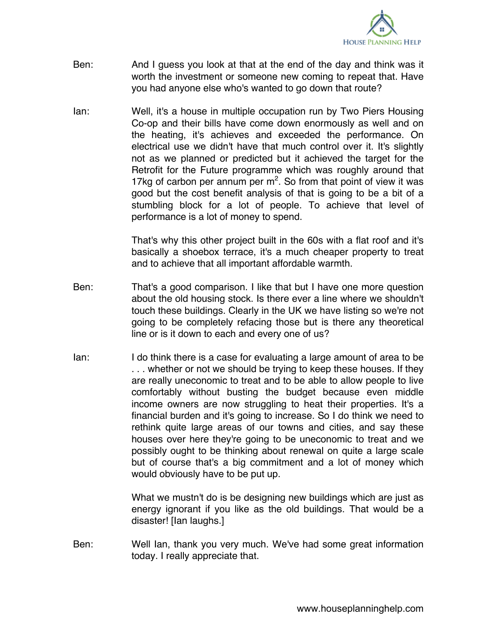

- Ben: And I guess you look at that at the end of the day and think was it worth the investment or someone new coming to repeat that. Have you had anyone else who's wanted to go down that route?
- Ian: Well, it's a house in multiple occupation run by Two Piers Housing Co-op and their bills have come down enormously as well and on the heating, it's achieves and exceeded the performance. On electrical use we didn't have that much control over it. It's slightly not as we planned or predicted but it achieved the target for the Retrofit for the Future programme which was roughly around that 17kg of carbon per annum per  $m^2$ . So from that point of view it was good but the cost benefit analysis of that is going to be a bit of a stumbling block for a lot of people. To achieve that level of performance is a lot of money to spend.

That's why this other project built in the 60s with a flat roof and it's basically a shoebox terrace, it's a much cheaper property to treat and to achieve that all important affordable warmth.

- Ben: That's a good comparison. I like that but I have one more question about the old housing stock. Is there ever a line where we shouldn't touch these buildings. Clearly in the UK we have listing so we're not going to be completely refacing those but is there any theoretical line or is it down to each and every one of us?
- Ian: I do think there is a case for evaluating a large amount of area to be ... whether or not we should be trying to keep these houses. If they are really uneconomic to treat and to be able to allow people to live comfortably without busting the budget because even middle income owners are now struggling to heat their properties. It's a financial burden and it's going to increase. So I do think we need to rethink quite large areas of our towns and cities, and say these houses over here they're going to be uneconomic to treat and we possibly ought to be thinking about renewal on quite a large scale but of course that's a big commitment and a lot of money which would obviously have to be put up.

What we mustn't do is be designing new buildings which are just as energy ignorant if you like as the old buildings. That would be a disaster! [Ian laughs.]

Ben: Well Ian, thank you very much. We've had some great information today. I really appreciate that.